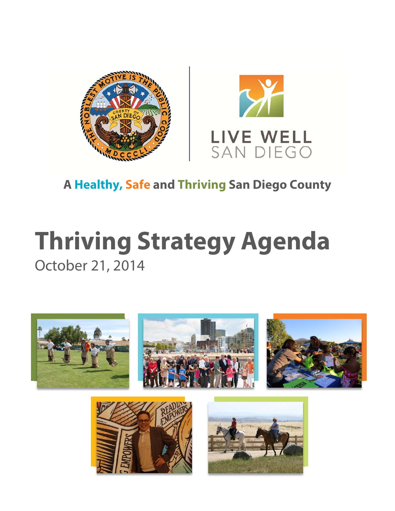



# **A Healthy, Safe and Thriving San Diego County**

# **Thriving Strategy Agenda** October 21, 2014





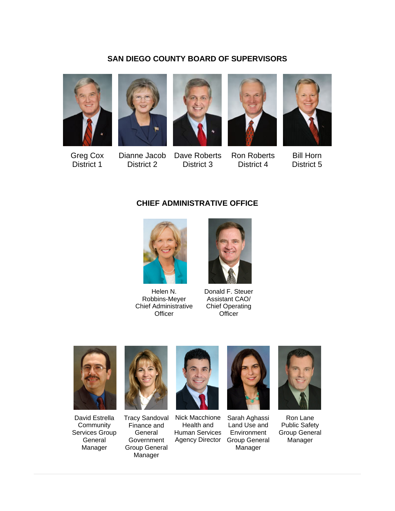#### **SAN DIEGO COUNTY BOARD OF SUPERVISORS**











Greg Cox District 1

Dianne Jacob District 2

Dave Roberts District 3

Ron Roberts District 4

Bill Horn District 5

#### **CHIEF ADMINISTRATIVE OFFICE**



Helen N. Robbins-Meyer Chief Administrative **Officer** 



Donald F. Steuer Assistant CAO/ Chief Operating **Officer** 



David Estrella **Community** Services Group General Manager



Tracy Sandoval Finance and General **Government** Group General Manager



Nick Macchione Health and Human Services Agency Director



Sarah Aghassi Land Use and **Environment** Group General Manager



Ron Lane Public Safety Group General Manager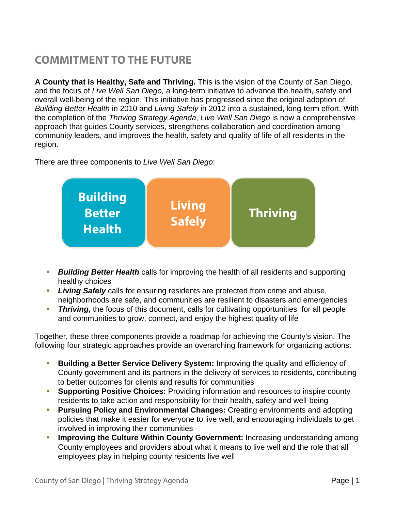# **COMMITMENT TO THE FUTURE**

**A County that is Healthy, Safe and Thriving.** This is the vision of the County of San Diego, and the focus of *Live Well San Diego,* a long-term initiative to advance the health, safety and overall well-being of the region. This initiative has progressed since the original adoption of *Building Better Health* in 2010 and *Living Safely* in 2012 into a sustained, long-term effort. With the completion of the *Thriving Strategy Agenda*, *Live Well San Diego* is now a comprehensive approach that guides County services, strengthens collaboration and coordination among community leaders, and improves the health, safety and quality of life of all residents in the region.

There are three components to *Live Well San Diego*:



- *Building Better Health* calls for improving the health of all residents and supporting healthy choices
- *Living Safely* calls for ensuring residents are protected from crime and abuse, neighborhoods are safe, and communities are resilient to disasters and emergencies
- *Thriving***,** the focus of this document, calls for cultivating opportunities for all people and communities to grow, connect, and enjoy the highest quality of life

Together, these three components provide a roadmap for achieving the County's vision. The following four strategic approaches provide an overarching framework for organizing actions:

- **Building a Better Service Delivery System:** Improving the quality and efficiency of County government and its partners in the delivery of services to residents, contributing to better outcomes for clients and results for communities
- **Supporting Positive Choices:** Providing information and resources to inspire county residents to take action and responsibility for their health, safety and well-being
- **Pursuing Policy and Environmental Changes:** Creating environments and adopting policies that make it easier for everyone to live well, and encouraging individuals to get involved in improving their communities
- **Improving the Culture Within County Government:** Increasing understanding among County employees and providers about what it means to live well and the role that all employees play in helping county residents live well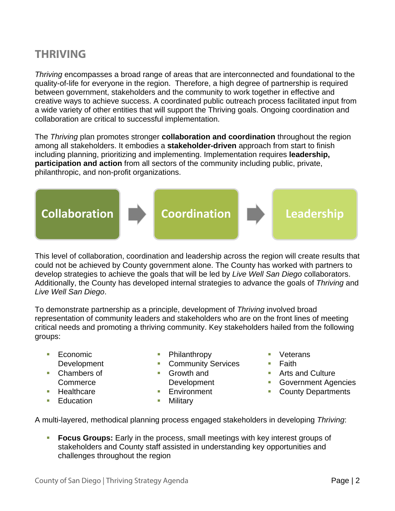## **THRIVING**

*Thriving* encompasses a broad range of areas that are interconnected and foundational to the quality-of-life for everyone in the region. Therefore, a high degree of partnership is required between government, stakeholders and the community to work together in effective and creative ways to achieve success. A coordinated public outreach process facilitated input from a wide variety of other entities that will support the Thriving goals. Ongoing coordination and collaboration are critical to successful implementation.

The *Thriving* plan promotes stronger **collaboration and coordination** throughout the region among all stakeholders. It embodies a **stakeholder-driven** approach from start to finish including planning, prioritizing and implementing. Implementation requires **leadership, participation and action** from all sectors of the community including public, private, philanthropic, and non-profit organizations.



This level of collaboration, coordination and leadership across the region will create results that could not be achieved by County government alone. The County has worked with partners to develop strategies to achieve the goals that will be led by *Live Well San Diego* collaborators. Additionally, the County has developed internal strategies to advance the goals of *Thriving* and *Live Well San Diego*.

To demonstrate partnership as a principle, development of *Thriving* involved broad representation of community leaders and stakeholders who are on the front lines of meeting critical needs and promoting a thriving community. Key stakeholders hailed from the following groups:

- $\blacksquare$  Economic Development
- Chambers of Commerce
- Healthcare
- Education
- Philanthropy
- **Community Services**
- Growth and Development
- **Environment**
- **Nilitary**
- **veterans**
- $\blacksquare$  Faith
- **Arts and Culture**
- **Government Agencies**
- County Departments

A multi-layered, methodical planning process engaged stakeholders in developing *Thriving*:

 **Focus Groups:** Early in the process, small meetings with key interest groups of stakeholders and County staff assisted in understanding key opportunities and challenges throughout the region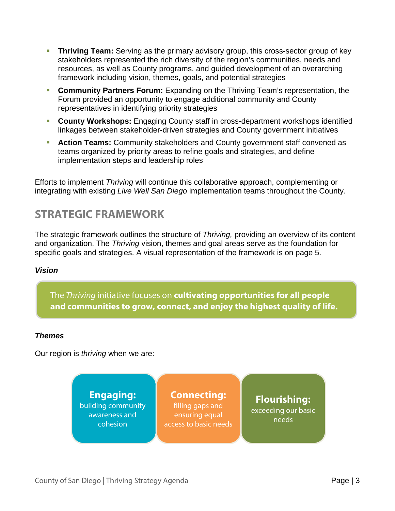- **Thriving Team:** Serving as the primary advisory group, this cross-sector group of key stakeholders represented the rich diversity of the region's communities, needs and resources, as well as County programs, and guided development of an overarching framework including vision, themes, goals, and potential strategies
- **Community Partners Forum:** Expanding on the Thriving Team's representation, the Forum provided an opportunity to engage additional community and County representatives in identifying priority strategies
- **County Workshops:** Engaging County staff in cross-department workshops identified linkages between stakeholder-driven strategies and County government initiatives
- **Action Teams:** Community stakeholders and County government staff convened as teams organized by priority areas to refine goals and strategies, and define implementation steps and leadership roles

Efforts to implement *Thriving* will continue this collaborative approach, complementing or integrating with existing *Live Well San Diego* implementation teams throughout the County.

## **STRATEGIC FRAMEWORK**

The strategic framework outlines the structure of *Thriving,* providing an overview of its content and organization. The *Thriving* vision, themes and goal areas serve as the foundation for specific goals and strategies. A visual representation of the framework is on page 5.

#### *Vision*

The Thriving initiative focuses on **cultivating opportunities for all people and communities to grow, connect, and enjoy the highest quality of life.** 

#### *Themes*

Our region is *thriving* when we are:

**Engaging:**  building community awareness and cohesion

#### **Connecting:**  filling gaps and ensuring equal access to basic needs

**Flourishing:**  exceeding our basic needs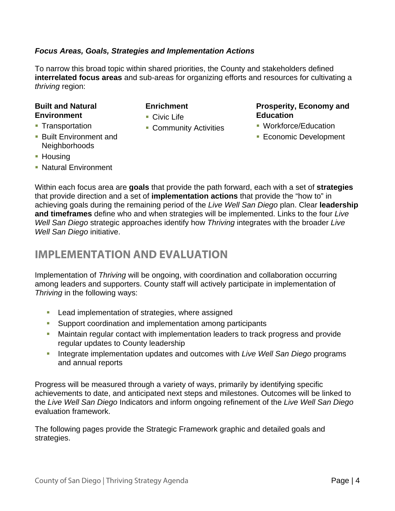#### *Focus Areas, Goals, Strategies and Implementation Actions*

To narrow this broad topic within shared priorities, the County and stakeholders defined **interrelated focus areas** and sub-areas for organizing efforts and resources for cultivating a *thriving* region:

#### **Built and Natural Environment**

- **Transportation**
- Built Environment and **Neighborhoods**
- **Housing**
- **Natural Environment**

#### **Enrichment**

- Civic Life
- **Community Activities**

#### **Prosperity, Economy and Education**

- **Workforce/Education**
- **Economic Development**

Within each focus area are **goals** that provide the path forward, each with a set of **strategies** that provide direction and a set of **implementation actions** that provide the "how to" in achieving goals during the remaining period of the *Live Well San Diego* plan. Clear **leadership and timeframes** define who and when strategies will be implemented. Links to the four *Live Well San Diego* strategic approaches identify how *Thriving* integrates with the broader *Live Well San Diego* initiative.

## **IMPLEMENTATION AND EVALUATION**

Implementation of *Thriving* will be ongoing, with coordination and collaboration occurring among leaders and supporters. County staff will actively participate in implementation of *Thriving* in the following ways:

- **Lead implementation of strategies, where assigned**
- Support coordination and implementation among participants
- Maintain regular contact with implementation leaders to track progress and provide regular updates to County leadership
- **Integrate implementation updates and outcomes with** *Live Well San Diego* **programs** and annual reports

Progress will be measured through a variety of ways, primarily by identifying specific achievements to date, and anticipated next steps and milestones. Outcomes will be linked to the *Live Well San Diego* Indicators and inform ongoing refinement of the *Live Well San Diego* evaluation framework.

The following pages provide the Strategic Framework graphic and detailed goals and strategies.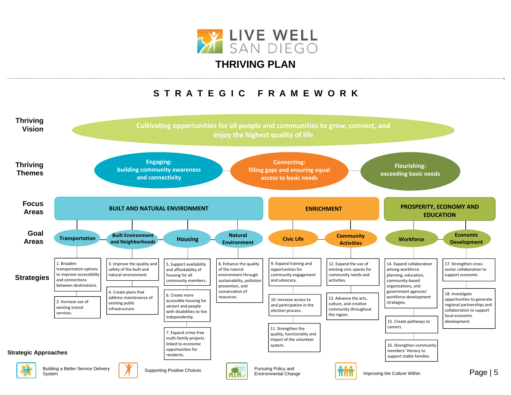

### **THRIVING PLAN**

## **S T R A T E G I C F R A M E W O R K**

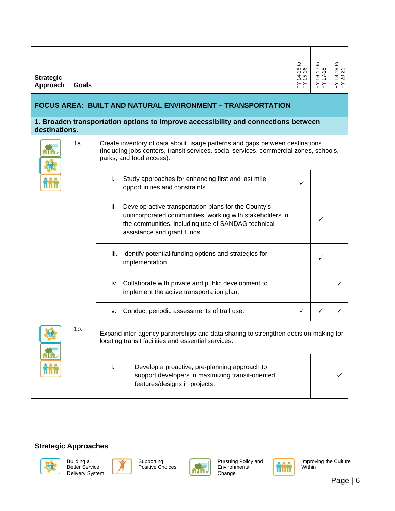| <b>Strategic</b><br>Approach                                                                        | Goals          |                                                                                                                                                                                                              | ₽<br>$14 - 151$<br>$15 - 16$<br>≿∑ | ≿≿ | $18-19$ to<br>20-21<br>≿ ≿ |  |  |  |  |  |  |
|-----------------------------------------------------------------------------------------------------|----------------|--------------------------------------------------------------------------------------------------------------------------------------------------------------------------------------------------------------|------------------------------------|----|----------------------------|--|--|--|--|--|--|
| <b>FOCUS AREA: BUILT AND NATURAL ENVIRONMENT - TRANSPORTATION</b>                                   |                |                                                                                                                                                                                                              |                                    |    |                            |  |  |  |  |  |  |
| 1. Broaden transportation options to improve accessibility and connections between<br>destinations. |                |                                                                                                                                                                                                              |                                    |    |                            |  |  |  |  |  |  |
|                                                                                                     | 1a.            | Create inventory of data about usage patterns and gaps between destinations<br>(including jobs centers, transit services, social services, commercial zones, schools,<br>parks, and food access).            |                                    |    |                            |  |  |  |  |  |  |
|                                                                                                     |                | Study approaches for enhancing first and last mile<br>i.<br>opportunities and constraints.                                                                                                                   | ✓                                  |    |                            |  |  |  |  |  |  |
|                                                                                                     |                | Develop active transportation plans for the County's<br>ii.<br>unincorporated communities, working with stakeholders in<br>the communities, including use of SANDAG technical<br>assistance and grant funds. |                                    | ✓  |                            |  |  |  |  |  |  |
|                                                                                                     |                | Identify potential funding options and strategies for<br>iii.<br>implementation.                                                                                                                             |                                    | ✓  |                            |  |  |  |  |  |  |
|                                                                                                     |                | iv. Collaborate with private and public development to<br>implement the active transportation plan.                                                                                                          |                                    |    | ✓                          |  |  |  |  |  |  |
|                                                                                                     |                | Conduct periodic assessments of trail use.<br>v.                                                                                                                                                             | ✓                                  | ✓  |                            |  |  |  |  |  |  |
|                                                                                                     | 1 <sub>b</sub> | Expand inter-agency partnerships and data sharing to strengthen decision-making for<br>locating transit facilities and essential services.                                                                   |                                    |    |                            |  |  |  |  |  |  |
|                                                                                                     |                | Develop a proactive, pre-planning approach to<br>i.<br>support developers in maximizing transit-oriented<br>features/designs in projects.                                                                    |                                    |    |                            |  |  |  |  |  |  |







Supporting Positive Choices



Pursuing Policy and Environmental Change

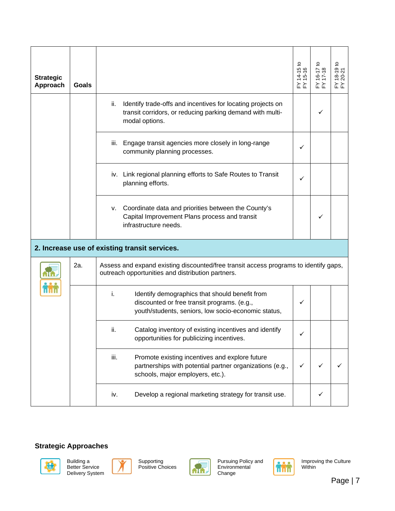|                              |       |                                                                                                                                                            | $14-15$ to<br>$15-16$ |               | 9t0<br>$18 - 21$<br>$20 - 21$ |  |  |  |  |
|------------------------------|-------|------------------------------------------------------------------------------------------------------------------------------------------------------------|-----------------------|---------------|-------------------------------|--|--|--|--|
| <b>Strategic</b><br>Approach | Goals |                                                                                                                                                            | ≿ ≿                   | $16-1$<br>≿ ≿ | ≿≿                            |  |  |  |  |
|                              |       | ii.<br>Identify trade-offs and incentives for locating projects on<br>transit corridors, or reducing parking demand with multi-<br>modal options.          |                       | ✓             |                               |  |  |  |  |
|                              |       | Engage transit agencies more closely in long-range<br>Ш.<br>community planning processes.                                                                  | ✓                     |               |                               |  |  |  |  |
|                              |       | iv. Link regional planning efforts to Safe Routes to Transit<br>planning efforts.                                                                          | ✓                     |               |                               |  |  |  |  |
|                              |       | Coordinate data and priorities between the County's<br>v.<br>Capital Improvement Plans process and transit<br>infrastructure needs.                        |                       | ✓             |                               |  |  |  |  |
|                              |       | 2. Increase use of existing transit services.                                                                                                              |                       |               |                               |  |  |  |  |
|                              | 2a.   | Assess and expand existing discounted/free transit access programs to identify gaps,<br>outreach opportunities and distribution partners.                  |                       |               |                               |  |  |  |  |
|                              |       | i.<br>Identify demographics that should benefit from<br>discounted or free transit programs. (e.g.,<br>youth/students, seniors, low socio-economic status, | ✓                     |               |                               |  |  |  |  |
|                              |       | ii.<br>Catalog inventory of existing incentives and identify<br>opportunities for publicizing incentives.                                                  |                       |               |                               |  |  |  |  |
|                              |       | Promote existing incentives and explore future<br>iii.<br>partnerships with potential partner organizations (e.g.,<br>schools, major employers, etc.).     | ✓                     | ✓             |                               |  |  |  |  |
|                              |       | Develop a regional marketing strategy for transit use.<br>iv.                                                                                              |                       | ✓             |                               |  |  |  |  |









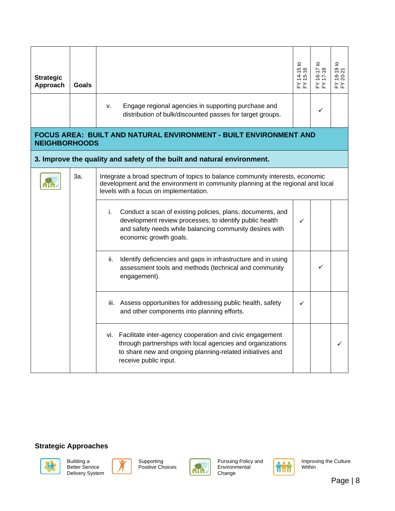| <b>Strategic</b><br>Approach                                                                     | Goals |                                                                                                                                                                                                                  | $14-15t$<br>15-16<br>≿ ≿ | $16-17$ to<br>$17-18$ | $18-19$ to<br>20-21 |  |  |  |  |  |
|--------------------------------------------------------------------------------------------------|-------|------------------------------------------------------------------------------------------------------------------------------------------------------------------------------------------------------------------|--------------------------|-----------------------|---------------------|--|--|--|--|--|
|                                                                                                  |       | Engage regional agencies in supporting purchase and<br>v.<br>distribution of bulk/discounted passes for target groups.                                                                                           |                          | $\checkmark$          |                     |  |  |  |  |  |
| <b>FOCUS AREA: BUILT AND NATURAL ENVIRONMENT - BUILT ENVIRONMENT AND</b><br><b>NEIGHBORHOODS</b> |       |                                                                                                                                                                                                                  |                          |                       |                     |  |  |  |  |  |
|                                                                                                  |       | 3. Improve the quality and safety of the built and natural environment.                                                                                                                                          |                          |                       |                     |  |  |  |  |  |
|                                                                                                  | За.   | Integrate a broad spectrum of topics to balance community interests, economic<br>development and the environment in community planning at the regional and local<br>levels with a focus on implementation.       |                          |                       |                     |  |  |  |  |  |
|                                                                                                  |       | Conduct a scan of existing policies, plans, documents, and<br>i.<br>development review processes, to identify public health<br>and safety needs while balancing community desires with<br>economic growth goals. | ✓                        |                       |                     |  |  |  |  |  |
|                                                                                                  |       | Identify deficiencies and gaps in infrastructure and in using<br>ii.<br>assessment tools and methods (technical and community<br>engagement).                                                                    |                          | ✓                     |                     |  |  |  |  |  |
|                                                                                                  |       | iii. Assess opportunities for addressing public health, safety<br>and other components into planning efforts.                                                                                                    | ✓                        |                       |                     |  |  |  |  |  |
|                                                                                                  |       | vi. Facilitate inter-agency cooperation and civic engagement<br>through partnerships with local agencies and organizations<br>to share new and ongoing planning-related initiatives and<br>receive public input. |                          |                       |                     |  |  |  |  |  |







Supporting Positive Choices



Pursuing Policy and Environmental Change

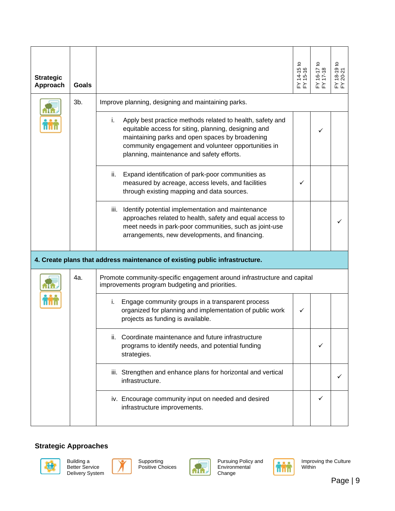| <b>Strategic</b><br>Approach | Goals |                                                                                                                                                                                                                                   | $14-15$ to<br>$15-16$                                                                                                                                                                                                                                                                                                                | $-41-9$<br>≿ ≿ | FY 18-19 to<br>FY 20-21 |  |
|------------------------------|-------|-----------------------------------------------------------------------------------------------------------------------------------------------------------------------------------------------------------------------------------|--------------------------------------------------------------------------------------------------------------------------------------------------------------------------------------------------------------------------------------------------------------------------------------------------------------------------------------|----------------|-------------------------|--|
|                              |       | 3b.                                                                                                                                                                                                                               | Improve planning, designing and maintaining parks.<br>Apply best practice methods related to health, safety and<br>i.<br>equitable access for siting, planning, designing and<br>maintaining parks and open spaces by broadening<br>community engagement and volunteer opportunities in<br>planning, maintenance and safety efforts. |                |                         |  |
|                              |       | Expand identification of park-poor communities as<br>ii.<br>measured by acreage, access levels, and facilities<br>through existing mapping and data sources.                                                                      | ✓                                                                                                                                                                                                                                                                                                                                    |                |                         |  |
|                              |       | Identify potential implementation and maintenance<br>iii.<br>approaches related to health, safety and equal access to<br>meet needs in park-poor communities, such as joint-use<br>arrangements, new developments, and financing. |                                                                                                                                                                                                                                                                                                                                      |                |                         |  |
|                              |       | 4. Create plans that address maintenance of existing public infrastructure.                                                                                                                                                       |                                                                                                                                                                                                                                                                                                                                      |                |                         |  |
|                              | 4a.   | Promote community-specific engagement around infrastructure and capital<br>improvements program budgeting and priorities.                                                                                                         |                                                                                                                                                                                                                                                                                                                                      |                |                         |  |
|                              |       | Engage community groups in a transparent process<br>i.<br>organized for planning and implementation of public work<br>projects as funding is available.                                                                           | ✓                                                                                                                                                                                                                                                                                                                                    |                |                         |  |
|                              |       | ii. Coordinate maintenance and future infrastructure<br>programs to identify needs, and potential funding<br>strategies.                                                                                                          |                                                                                                                                                                                                                                                                                                                                      | ✓              |                         |  |
|                              |       | iii. Strengthen and enhance plans for horizontal and vertical<br>infrastructure.                                                                                                                                                  |                                                                                                                                                                                                                                                                                                                                      |                |                         |  |
|                              |       | iv. Encourage community input on needed and desired<br>infrastructure improvements.                                                                                                                                               |                                                                                                                                                                                                                                                                                                                                      | ✓              |                         |  |







Supporting Positive Choices



Pursuing Policy and Environmental Change

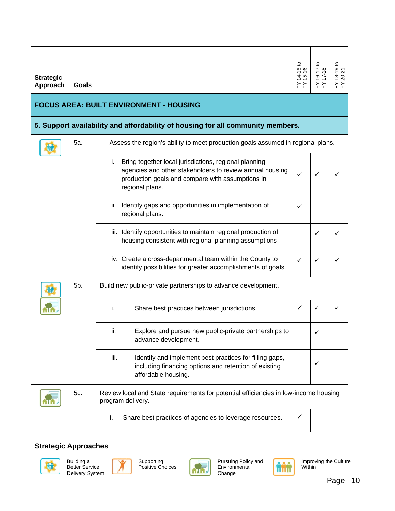| <b>Strategic</b><br>Approach | Goals                                                                           |                                                                                                                                                                                                | Զ<br>$14 - 15$<br>15-16 |              | $18-19$ to<br>20-21<br>≿ ≿ |  |  |  |  |  |
|------------------------------|---------------------------------------------------------------------------------|------------------------------------------------------------------------------------------------------------------------------------------------------------------------------------------------|-------------------------|--------------|----------------------------|--|--|--|--|--|
|                              |                                                                                 | <b>FOCUS AREA: BUILT ENVIRONMENT - HOUSING</b>                                                                                                                                                 |                         |              |                            |  |  |  |  |  |
|                              | 5. Support availability and affordability of housing for all community members. |                                                                                                                                                                                                |                         |              |                            |  |  |  |  |  |
|                              | 5a.                                                                             | Assess the region's ability to meet production goals assumed in regional plans.                                                                                                                |                         |              |                            |  |  |  |  |  |
|                              |                                                                                 | Bring together local jurisdictions, regional planning<br>Ĺ.<br>agencies and other stakeholders to review annual housing<br>production goals and compare with assumptions in<br>regional plans. | ✓                       |              |                            |  |  |  |  |  |
|                              |                                                                                 | ii. Identify gaps and opportunities in implementation of<br>regional plans.                                                                                                                    | ✓                       |              |                            |  |  |  |  |  |
|                              |                                                                                 | iii. Identify opportunities to maintain regional production of<br>housing consistent with regional planning assumptions.                                                                       |                         |              |                            |  |  |  |  |  |
|                              |                                                                                 | iv. Create a cross-departmental team within the County to<br>identify possibilities for greater accomplishments of goals.                                                                      |                         |              |                            |  |  |  |  |  |
|                              | 5b.                                                                             | Build new public-private partnerships to advance development.                                                                                                                                  |                         |              |                            |  |  |  |  |  |
|                              |                                                                                 | Share best practices between jurisdictions.<br>i.                                                                                                                                              | ✓                       | $\checkmark$ |                            |  |  |  |  |  |
|                              |                                                                                 | Explore and pursue new public-private partnerships to<br>ii.<br>advance development.                                                                                                           |                         |              |                            |  |  |  |  |  |
|                              |                                                                                 | iii.<br>Identify and implement best practices for filling gaps,<br>including financing options and retention of existing<br>affordable housing.                                                |                         | ✓            |                            |  |  |  |  |  |
|                              | 5c.                                                                             | Review local and State requirements for potential efficiencies in low-income housing<br>program delivery.                                                                                      |                         |              |                            |  |  |  |  |  |
|                              |                                                                                 | Share best practices of agencies to leverage resources.<br>j.                                                                                                                                  | ✓                       |              |                            |  |  |  |  |  |









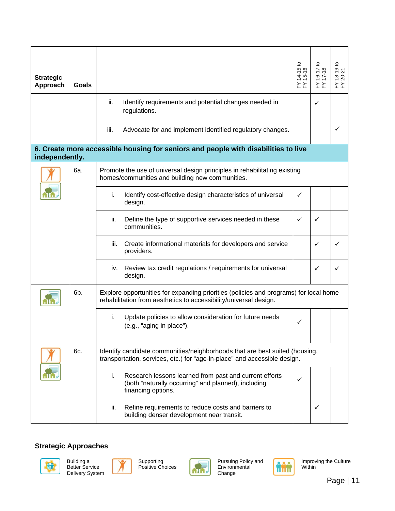| <b>Strategic</b><br>Approach                                                                         | Goals |                                                                                                                                                            | ₽<br>$14 - 151$<br>$15 - 16$<br>≿ ≿ | $6-1$<br>≿ ≿ | $8-19$ to<br>20-21<br>≿ ≿ |  |  |  |  |  |
|------------------------------------------------------------------------------------------------------|-------|------------------------------------------------------------------------------------------------------------------------------------------------------------|-------------------------------------|--------------|---------------------------|--|--|--|--|--|
|                                                                                                      |       | ii.<br>Identify requirements and potential changes needed in<br>regulations.                                                                               |                                     | ✓            |                           |  |  |  |  |  |
|                                                                                                      |       | iii.<br>Advocate for and implement identified regulatory changes.                                                                                          |                                     |              | ✓                         |  |  |  |  |  |
| 6. Create more accessible housing for seniors and people with disabilities to live<br>independently. |       |                                                                                                                                                            |                                     |              |                           |  |  |  |  |  |
|                                                                                                      | 6а.   | Promote the use of universal design principles in rehabilitating existing<br>homes/communities and building new communities.                               |                                     |              |                           |  |  |  |  |  |
|                                                                                                      |       | i.<br>Identify cost-effective design characteristics of universal<br>design.                                                                               | ✓                                   |              |                           |  |  |  |  |  |
|                                                                                                      |       | ii.<br>Define the type of supportive services needed in these<br>communities.                                                                              | ✓                                   | ✓            |                           |  |  |  |  |  |
|                                                                                                      |       | iii.<br>Create informational materials for developers and service<br>providers.                                                                            |                                     | ✓            | ✓                         |  |  |  |  |  |
|                                                                                                      |       | Review tax credit regulations / requirements for universal<br>İV.<br>design.                                                                               |                                     | ✓            |                           |  |  |  |  |  |
|                                                                                                      | 6b.   | Explore opportunities for expanding priorities (policies and programs) for local home<br>rehabilitation from aesthetics to accessibility/universal design. |                                     |              |                           |  |  |  |  |  |
|                                                                                                      |       | Update policies to allow consideration for future needs<br>i.<br>(e.g., "aging in place").                                                                 | $\checkmark$                        |              |                           |  |  |  |  |  |
|                                                                                                      | 6c.   | Identify candidate communities/neighborhoods that are best suited (housing,<br>transportation, services, etc.) for "age-in-place" and accessible design.   |                                     |              |                           |  |  |  |  |  |
|                                                                                                      |       | Research lessons learned from past and current efforts<br>i.<br>(both "naturally occurring" and planned), including<br>financing options.                  | ✓                                   |              |                           |  |  |  |  |  |
|                                                                                                      |       | Refine requirements to reduce costs and barriers to<br>ii.<br>building denser development near transit.                                                    |                                     | ✓            |                           |  |  |  |  |  |







Supporting Positive Choices



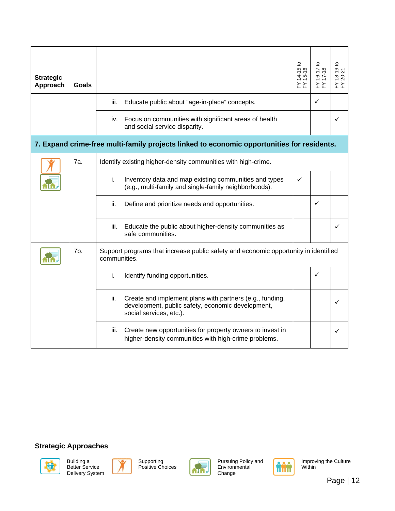| <b>Strategic</b><br>Approach | Goals |                                                                                                                                                 | ₽<br>$14-15t$<br>15-16 | 5 | 9t0<br>20-21<br>$\overline{6}$<br>≿ ≿ |
|------------------------------|-------|-------------------------------------------------------------------------------------------------------------------------------------------------|------------------------|---|---------------------------------------|
|                              |       | Educate public about "age-in-place" concepts.<br>iii.                                                                                           |                        | ✓ |                                       |
|                              |       | Focus on communities with significant areas of health<br>iv.<br>and social service disparity.                                                   |                        |   | ✓                                     |
|                              |       | 7. Expand crime-free multi-family projects linked to economic opportunities for residents.                                                      |                        |   |                                       |
|                              | 7a.   | Identify existing higher-density communities with high-crime.                                                                                   |                        |   |                                       |
|                              |       | Inventory data and map existing communities and types<br>i.<br>(e.g., multi-family and single-family neighborhoods).                            | ✓                      |   |                                       |
|                              |       | Define and prioritize needs and opportunities.<br>ii.                                                                                           |                        | ✓ |                                       |
|                              |       | Educate the public about higher-density communities as<br>iii.<br>safe communities.                                                             |                        |   |                                       |
|                              | 7b.   | Support programs that increase public safety and economic opportunity in identified<br>communities.                                             |                        |   |                                       |
|                              |       | Identify funding opportunities.<br>i.                                                                                                           |                        | ✓ |                                       |
|                              |       | Create and implement plans with partners (e.g., funding,<br>ii.<br>development, public safety, economic development,<br>social services, etc.). |                        |   | $\checkmark$                          |
|                              |       | Create new opportunities for property owners to invest in<br>iii.<br>higher-density communities with high-crime problems.                       |                        |   | ✓                                     |









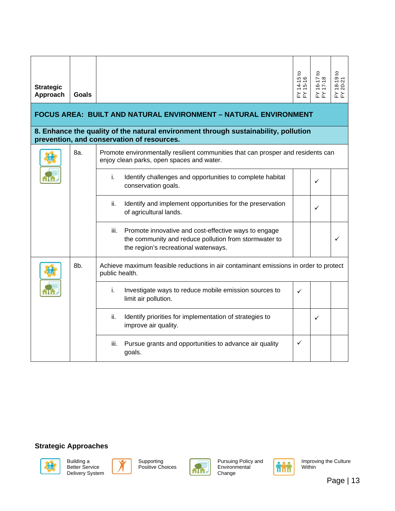| <b>Strategic</b><br>Approach                                                                                                      | Goals |                                                                                                                                                               | $14 - 15$<br>15-16 | $16 - 171$<br>$17 - 18$ | $\mathtt{S}$<br>$18-19$ t<br>20-21 |  |  |  |  |  |  |  |
|-----------------------------------------------------------------------------------------------------------------------------------|-------|---------------------------------------------------------------------------------------------------------------------------------------------------------------|--------------------|-------------------------|------------------------------------|--|--|--|--|--|--|--|
| <b>FOCUS AREA: BUILT AND NATURAL ENVIRONMENT - NATURAL ENVIRONMENT</b>                                                            |       |                                                                                                                                                               |                    |                         |                                    |  |  |  |  |  |  |  |
| 8. Enhance the quality of the natural environment through sustainability, pollution<br>prevention, and conservation of resources. |       |                                                                                                                                                               |                    |                         |                                    |  |  |  |  |  |  |  |
|                                                                                                                                   | 8a.   | Promote environmentally resilient communities that can prosper and residents can<br>enjoy clean parks, open spaces and water.                                 |                    |                         |                                    |  |  |  |  |  |  |  |
|                                                                                                                                   |       | Identify challenges and opportunities to complete habitat<br>i.<br>conservation goals.                                                                        |                    | ✓                       |                                    |  |  |  |  |  |  |  |
|                                                                                                                                   |       | Identify and implement opportunities for the preservation<br>ii.<br>of agricultural lands.                                                                    |                    | ✓                       |                                    |  |  |  |  |  |  |  |
|                                                                                                                                   |       | Promote innovative and cost-effective ways to engage<br>iii.<br>the community and reduce pollution from stormwater to<br>the region's recreational waterways. |                    |                         | ✓                                  |  |  |  |  |  |  |  |
|                                                                                                                                   | 8b.   | Achieve maximum feasible reductions in air contaminant emissions in order to protect<br>public health.                                                        |                    |                         |                                    |  |  |  |  |  |  |  |
|                                                                                                                                   |       | Investigate ways to reduce mobile emission sources to<br>i.<br>limit air pollution.                                                                           | ✓                  |                         |                                    |  |  |  |  |  |  |  |
|                                                                                                                                   |       | ii.<br>Identify priorities for implementation of strategies to<br>improve air quality.                                                                        |                    | ✓                       |                                    |  |  |  |  |  |  |  |
|                                                                                                                                   |       | Pursue grants and opportunities to advance air quality<br>iii.<br>goals.                                                                                      | ✓                  |                         |                                    |  |  |  |  |  |  |  |







Supporting Positive Choices



Pursuing Policy and Environmental Change

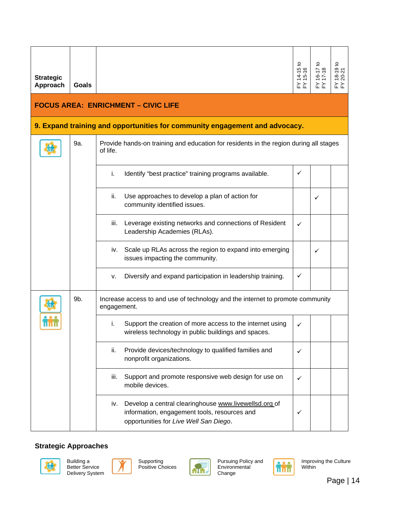| <b>Strategic</b><br>Approach               | <b>Goals</b> |                                                                                                                                                        | FY 14-15 to<br>FY 15-16 | $16 - 17$<br>17-18 | $(18-19)$ to<br>$(20-21)$ |  |  |  |  |  |
|--------------------------------------------|--------------|--------------------------------------------------------------------------------------------------------------------------------------------------------|-------------------------|--------------------|---------------------------|--|--|--|--|--|
| <b>FOCUS AREA: ENRICHMENT - CIVIC LIFE</b> |              |                                                                                                                                                        |                         |                    |                           |  |  |  |  |  |
|                                            |              | 9. Expand training and opportunities for community engagement and advocacy.                                                                            |                         |                    |                           |  |  |  |  |  |
|                                            | 9a.          | Provide hands-on training and education for residents in the region during all stages<br>of life.                                                      |                         |                    |                           |  |  |  |  |  |
|                                            |              | Identify "best practice" training programs available.<br>i.                                                                                            | ✓                       |                    |                           |  |  |  |  |  |
|                                            |              | Use approaches to develop a plan of action for<br>ii.<br>community identified issues.                                                                  |                         | ✓                  |                           |  |  |  |  |  |
|                                            |              | Leverage existing networks and connections of Resident<br>iii.<br>Leadership Academies (RLAs).                                                         | ✓                       |                    |                           |  |  |  |  |  |
|                                            |              | Scale up RLAs across the region to expand into emerging<br>IV.<br>issues impacting the community.                                                      |                         | ✓                  |                           |  |  |  |  |  |
|                                            |              | Diversify and expand participation in leadership training.<br>۷.                                                                                       | ✓                       |                    |                           |  |  |  |  |  |
|                                            | 9b.          | Increase access to and use of technology and the internet to promote community<br>engagement.                                                          |                         |                    |                           |  |  |  |  |  |
|                                            |              | Support the creation of more access to the internet using<br>i.<br>wireless technology in public buildings and spaces.                                 | ✓                       |                    |                           |  |  |  |  |  |
|                                            |              | Provide devices/technology to qualified families and<br>ii.<br>nonprofit organizations.                                                                | ✓                       |                    |                           |  |  |  |  |  |
|                                            |              | Support and promote responsive web design for use on<br>iii.<br>mobile devices.                                                                        | ✓                       |                    |                           |  |  |  |  |  |
|                                            |              | Develop a central clearinghouse www.livewellsd.org of<br>iv.<br>information, engagement tools, resources and<br>opportunities for Live Well San Diego. | ✓                       |                    |                           |  |  |  |  |  |







Supporting Positive Choices



Pursuing Policy and Environmental Change

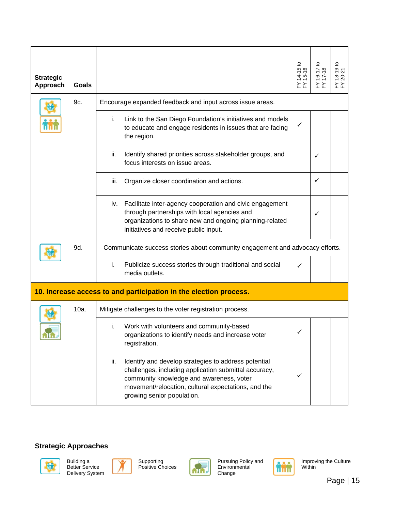| <b>Strategic</b><br>Approach | Goals   |                                                                                                                                                                                                                                                       | 요<br>$14-151$<br>$15-16$ | $16-17$<br>$17-18$ | $18-19$ to<br>20-21 |
|------------------------------|---------|-------------------------------------------------------------------------------------------------------------------------------------------------------------------------------------------------------------------------------------------------------|--------------------------|--------------------|---------------------|
|                              | 9c.     | Encourage expanded feedback and input across issue areas.                                                                                                                                                                                             |                          |                    |                     |
|                              |         | Link to the San Diego Foundation's initiatives and models<br>i.<br>to educate and engage residents in issues that are facing<br>the region.                                                                                                           | ✓                        |                    |                     |
|                              |         | ii.<br>Identify shared priorities across stakeholder groups, and<br>focus interests on issue areas.                                                                                                                                                   |                          | ✓                  |                     |
|                              |         | iii.<br>Organize closer coordination and actions.                                                                                                                                                                                                     |                          | ✓                  |                     |
|                              |         | iv. Facilitate inter-agency cooperation and civic engagement<br>through partnerships with local agencies and<br>organizations to share new and ongoing planning-related<br>initiatives and receive public input.                                      |                          | ✓                  |                     |
|                              | 9d.     | Communicate success stories about community engagement and advocacy efforts.                                                                                                                                                                          |                          |                    |                     |
|                              |         | Publicize success stories through traditional and social<br>i.<br>media outlets.                                                                                                                                                                      | ✓                        |                    |                     |
|                              |         | 10. Increase access to and participation in the election process.                                                                                                                                                                                     |                          |                    |                     |
|                              | $10a$ . | Mitigate challenges to the voter registration process.                                                                                                                                                                                                |                          |                    |                     |
| <b>ATA</b>                   |         | Work with volunteers and community-based<br>i.<br>organizations to identify needs and increase voter<br>registration.                                                                                                                                 |                          |                    |                     |
|                              |         | Identify and develop strategies to address potential<br>ii.<br>challenges, including application submittal accuracy,<br>community knowledge and awareness, voter<br>movement/relocation, cultural expectations, and the<br>growing senior population. | ✓                        |                    |                     |







Supporting Positive Choices



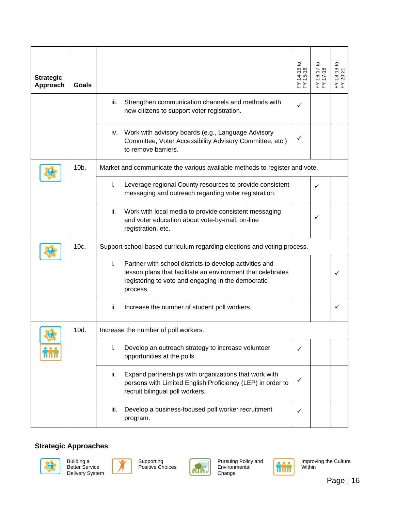| <b>Strategic</b><br>Approach | Goals   |                                                                                                                                                                                                | $14-15$ to<br>15-16<br>≿ ≿ | $16-1$<br>≿ ≿ | $18-19$ to<br>20-21<br>≿ ≿ |  |  |
|------------------------------|---------|------------------------------------------------------------------------------------------------------------------------------------------------------------------------------------------------|----------------------------|---------------|----------------------------|--|--|
|                              |         | Strengthen communication channels and methods with<br>iii.<br>new citizens to support voter registration.                                                                                      | ✓                          |               |                            |  |  |
|                              |         | Work with advisory boards (e.g., Language Advisory<br>IV.<br>Committee, Voter Accessibility Advisory Committee, etc.)<br>to remove barriers.                                                   | ✓                          |               |                            |  |  |
|                              | $10b$ . | Market and communicate the various available methods to register and vote.                                                                                                                     |                            |               |                            |  |  |
|                              |         | i.<br>Leverage regional County resources to provide consistent<br>messaging and outreach regarding voter registration.                                                                         |                            | ✓             |                            |  |  |
|                              |         | Work with local media to provide consistent messaging<br>ii.<br>and voter education about vote-by-mail, on-line<br>registration, etc.                                                          |                            | ✓             |                            |  |  |
|                              | 10c.    | Support school-based curriculum regarding elections and voting process.                                                                                                                        |                            |               |                            |  |  |
|                              |         | i.<br>Partner with school districts to develop activities and<br>lesson plans that facilitate an environment that celebrates<br>registering to vote and engaging in the democratic<br>process. |                            |               | ✓                          |  |  |
|                              |         | ii.<br>Increase the number of student poll workers.                                                                                                                                            |                            |               | ✓                          |  |  |
| <b>LET</b>                   | 10d.    | Increase the number of poll workers.                                                                                                                                                           |                            |               |                            |  |  |
|                              |         | Develop an outreach strategy to increase volunteer<br>i.<br>opportunities at the polls.                                                                                                        | ✓                          |               |                            |  |  |
|                              |         | Expand partnerships with organizations that work with<br>ii.<br>persons with Limited English Proficiency (LEP) in order to<br>recruit bilingual poll workers.                                  | ✓                          |               |                            |  |  |
|                              |         | Develop a business-focused poll worker recruitment<br>iii.<br>program.                                                                                                                         | ✓                          |               |                            |  |  |







Supporting Positive Choices



Pursuing Policy and Environmental Change

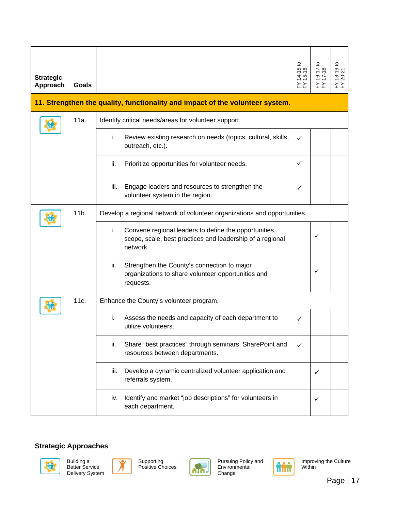| <b>Strategic</b><br>Approach | Goals |                                                                                                                                      | $14-15$ to<br>15-16 | $16 - 17$ | $18-19$ to<br>20-21 |
|------------------------------|-------|--------------------------------------------------------------------------------------------------------------------------------------|---------------------|-----------|---------------------|
|                              |       | 11. Strengthen the quality, functionality and impact of the volunteer system.                                                        |                     |           |                     |
|                              | 11a.  | Identify critical needs/areas for volunteer support.                                                                                 |                     |           |                     |
|                              |       | i.<br>Review existing research on needs (topics, cultural, skills,<br>outreach, etc.).                                               | ✓                   |           |                     |
|                              |       | ii.<br>Prioritize opportunities for volunteer needs.                                                                                 | ✓                   |           |                     |
|                              |       | Engage leaders and resources to strengthen the<br>iii.<br>volunteer system in the region.                                            | ✓                   |           |                     |
|                              | 11b.  | Develop a regional network of volunteer organizations and opportunities.                                                             |                     |           |                     |
|                              |       | i.<br>Convene regional leaders to define the opportunities,<br>scope, scale, best practices and leadership of a regional<br>network. |                     | ✓         |                     |
|                              |       | Strengthen the County's connection to major<br>ii.<br>organizations to share volunteer opportunities and<br>requests.                |                     | ✓         |                     |
|                              | 11c.  | Enhance the County's volunteer program.                                                                                              |                     |           |                     |
|                              |       | i.<br>Assess the needs and capacity of each department to<br>utilize volunteers.                                                     | ✓                   |           |                     |
|                              |       | Share "best practices" through seminars, SharePoint and<br>ii.<br>resources between departments.                                     | ✓                   |           |                     |
|                              |       | Develop a dynamic centralized volunteer application and<br>iii.<br>referrals system.                                                 |                     | ✓         |                     |
|                              |       | Identify and market "job descriptions" for volunteers in<br>İV.<br>each department.                                                  |                     | ✓         |                     |







Supporting Positive Choices



Pursuing Policy and Environmental Change

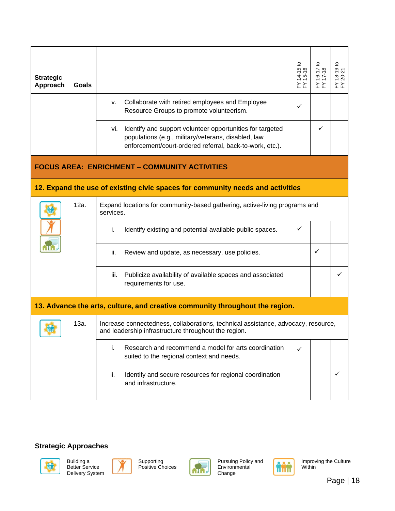| <b>Strategic</b><br>Approach | Goals |                                                                                                                                                                                     | ₽<br>$14 - 151$<br>$15 - 16$<br>≿ ≿ | <u>ای</u><br>≿≿ | $\overline{c}$<br>$18 - 19$<br>20-21<br>≿ ≿ |
|------------------------------|-------|-------------------------------------------------------------------------------------------------------------------------------------------------------------------------------------|-------------------------------------|-----------------|---------------------------------------------|
|                              |       | Collaborate with retired employees and Employee<br>V.<br>Resource Groups to promote volunteerism.                                                                                   | ✓                                   |                 |                                             |
|                              |       | Identify and support volunteer opportunities for targeted<br>vi.<br>populations (e.g., military/veterans, disabled, law<br>enforcement/court-ordered referral, back-to-work, etc.). |                                     | ✓               |                                             |
|                              |       | <b>FOCUS AREA: ENRICHMENT - COMMUNITY ACTIVITIES</b>                                                                                                                                |                                     |                 |                                             |
|                              |       | 12. Expand the use of existing civic spaces for community needs and activities                                                                                                      |                                     |                 |                                             |
|                              | 12a.  | Expand locations for community-based gathering, active-living programs and<br>services.                                                                                             |                                     |                 |                                             |
|                              |       | j.<br>Identify existing and potential available public spaces.                                                                                                                      | ✓                                   |                 |                                             |
|                              |       | ii.<br>Review and update, as necessary, use policies.                                                                                                                               |                                     | ✓               |                                             |
|                              |       | Publicize availability of available spaces and associated<br>iii.<br>requirements for use.                                                                                          |                                     |                 | ✓                                           |
|                              |       | 13. Advance the arts, culture, and creative community throughout the region.                                                                                                        |                                     |                 |                                             |

| 13a. | Increase connectedness, collaborations, technical assistance, advocacy, resource,<br>and leadership infrastructure throughout the region. |  |  |
|------|-------------------------------------------------------------------------------------------------------------------------------------------|--|--|
|      | Research and recommend a model for arts coordination<br>suited to the regional context and needs.                                         |  |  |
|      | Identify and secure resources for regional coordination<br>ii.<br>and infrastructure.                                                     |  |  |









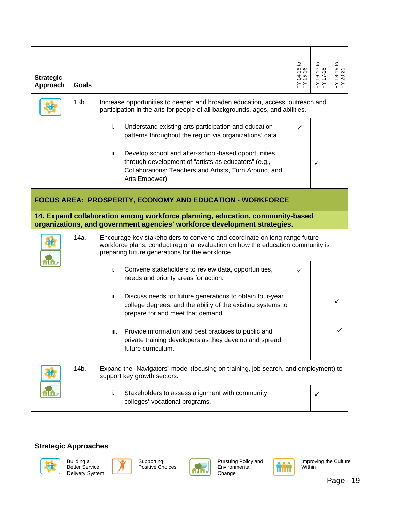| <b>Strategic</b><br>Approach | Goals |                                                                                                                                                                                                                | $14-15$ to<br>$15-16$ | $16 - 17$ | $^{18-19}$ to<br>$^{20-21}$<br>≿ ≿ |
|------------------------------|-------|----------------------------------------------------------------------------------------------------------------------------------------------------------------------------------------------------------------|-----------------------|-----------|------------------------------------|
|                              | 13b.  | Increase opportunities to deepen and broaden education, access, outreach and<br>participation in the arts for people of all backgrounds, ages, and abilities.                                                  |                       |           |                                    |
|                              |       | Understand existing arts participation and education<br>i.<br>patterns throughout the region via organizations' data.                                                                                          | ✓                     |           |                                    |
|                              |       | Develop school and after-school-based opportunities<br>ii.<br>through development of "artists as educators" (e.g.,<br>Collaborations: Teachers and Artists, Turn Around, and<br>Arts Empower).                 |                       | ✓         |                                    |
|                              |       | FOCUS AREA: PROSPERITY, ECONOMY AND EDUCATION - WORKFORCE                                                                                                                                                      |                       |           |                                    |
|                              |       | 14. Expand collaboration among workforce planning, education, community-based<br>organizations, and government agencies' workforce development strategies.                                                     |                       |           |                                    |
|                              | 14a.  | Encourage key stakeholders to convene and coordinate on long-range future<br>workforce plans, conduct regional evaluation on how the education community is<br>preparing future generations for the workforce. |                       |           |                                    |
|                              |       | i.<br>Convene stakeholders to review data, opportunities,<br>needs and priority areas for action.                                                                                                              | ✓                     |           |                                    |
|                              |       | Discuss needs for future generations to obtain four-year<br>ii.<br>college degrees, and the ability of the existing systems to<br>prepare for and meet that demand.                                            |                       |           | ✓                                  |
|                              |       | Provide information and best practices to public and<br>iii.<br>private training developers as they develop and spread<br>future curriculum                                                                    |                       |           | ✓                                  |

|          |                   | Tutule curriculum.                                                                                                 |  |  |  |  |
|----------|-------------------|--------------------------------------------------------------------------------------------------------------------|--|--|--|--|
| <b>M</b> | 14 <sub>b</sub> . | Expand the "Navigators" model (focusing on training, job search, and employment) to<br>support key growth sectors. |  |  |  |  |
|          |                   | Stakeholders to assess alignment with community<br>colleges' vocational programs.                                  |  |  |  |  |









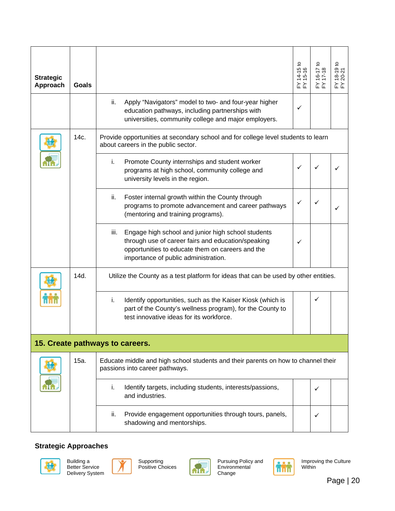| <b>Strategic</b><br>Approach | Goals |                                                                                                                                                                                                              | $14-151$<br>$15-16$ |   | $\mathtt{S}$<br>$18 - 191$<br>$20 - 21$ |
|------------------------------|-------|--------------------------------------------------------------------------------------------------------------------------------------------------------------------------------------------------------------|---------------------|---|-----------------------------------------|
|                              |       | Apply "Navigators" model to two- and four-year higher<br>ii.<br>education pathways, including partnerships with<br>universities, community college and major employers.                                      | ✓                   |   |                                         |
|                              | 14c.  | Provide opportunities at secondary school and for college level students to learn<br>about careers in the public sector.                                                                                     |                     |   |                                         |
|                              |       | Promote County internships and student worker<br>i.<br>programs at high school, community college and<br>university levels in the region.                                                                    |                     |   |                                         |
|                              |       | Foster internal growth within the County through<br>ii.<br>programs to promote advancement and career pathways<br>(mentoring and training programs).                                                         | ✓                   |   |                                         |
|                              |       | Engage high school and junior high school students<br>iii.<br>through use of career fairs and education/speaking<br>opportunities to educate them on careers and the<br>importance of public administration. | ✓                   |   |                                         |
|                              | 14d.  | Utilize the County as a test platform for ideas that can be used by other entities.                                                                                                                          |                     |   |                                         |
|                              |       | i.<br>Identify opportunities, such as the Kaiser Kiosk (which is<br>part of the County's wellness program), for the County to<br>test innovative ideas for its workforce.                                    |                     | ✓ |                                         |
|                              |       | 15. Create pathways to careers.                                                                                                                                                                              |                     |   |                                         |
|                              | 15a.  | Educate middle and high school students and their parents on how to channel their<br>passions into career pathways.                                                                                          |                     |   |                                         |
|                              |       | i.<br>Identify targets, including students, interests/passions,                                                                                                                                              |                     |   |                                         |

|     | Identify targets, including students, interests/passions,<br>and industries.          |  |
|-----|---------------------------------------------------------------------------------------|--|
| ii. | Provide engagement opportunities through tours, panels,<br>shadowing and mentorships. |  |









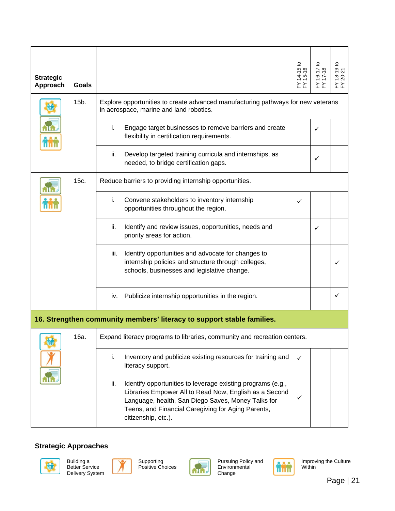| <b>Strategic</b><br>Approach | Goals |                                                                                                                                                                                                                                                                 | $14 - 151$<br>$15 - 16$ | $18-19$ to<br>$20-21$ |
|------------------------------|-------|-----------------------------------------------------------------------------------------------------------------------------------------------------------------------------------------------------------------------------------------------------------------|-------------------------|-----------------------|
|                              | 15b.  | Explore opportunities to create advanced manufacturing pathways for new veterans<br>in aerospace, marine and land robotics.                                                                                                                                     |                         |                       |
|                              |       | Engage target businesses to remove barriers and create<br>İ.<br>flexibility in certification requirements.                                                                                                                                                      |                         |                       |
|                              |       | Develop targeted training curricula and internships, as<br>ii.<br>needed, to bridge certification gaps.                                                                                                                                                         |                         |                       |
|                              | 15c.  | Reduce barriers to providing internship opportunities.                                                                                                                                                                                                          |                         |                       |
|                              |       | i.<br>Convene stakeholders to inventory internship<br>opportunities throughout the region.                                                                                                                                                                      | ✓                       |                       |
|                              |       | Identify and review issues, opportunities, needs and<br>ii.<br>priority areas for action.                                                                                                                                                                       |                         |                       |
|                              |       | Identify opportunities and advocate for changes to<br>iii.<br>internship policies and structure through colleges,<br>schools, businesses and legislative change.                                                                                                |                         |                       |
|                              |       | iv. Publicize internship opportunities in the region.                                                                                                                                                                                                           |                         | ✓                     |
|                              |       | 16. Strengthen community members' literacy to support stable families.                                                                                                                                                                                          |                         |                       |
|                              | 16a.  | Expand literacy programs to libraries, community and recreation centers.                                                                                                                                                                                        |                         |                       |
|                              |       | Inventory and publicize existing resources for training and<br>i.<br>literacy support.                                                                                                                                                                          | ✓                       |                       |
|                              |       | ii.<br>Identify opportunities to leverage existing programs (e.g.,<br>Libraries Empower All to Read Now, English as a Second<br>Language, health, San Diego Saves, Money Talks for<br>Teens, and Financial Caregiving for Aging Parents,<br>citizenship, etc.). | ✓                       |                       |







Supporting Positive Choices



Pursuing Policy and Environmental Change

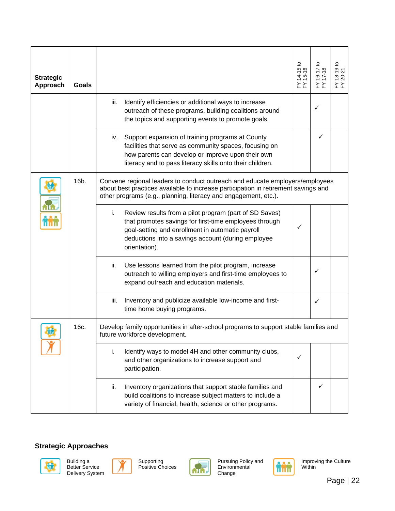| <b>Strategic</b><br>Approach | Goals |                                                                                                                                                                                                                                                   | ೆ<br>$14-15t$<br>15-16<br>≿≿ | ₽<br>$16 - 17$<br>17-18<br>≿∑ | $\frac{18-19}{20-21}$<br>≿ ≿ |
|------------------------------|-------|---------------------------------------------------------------------------------------------------------------------------------------------------------------------------------------------------------------------------------------------------|------------------------------|-------------------------------|------------------------------|
|                              |       | Identify efficiencies or additional ways to increase<br>iii.<br>outreach of these programs, building coalitions around<br>the topics and supporting events to promote goals.                                                                      |                              | ✓                             |                              |
|                              |       | Support expansion of training programs at County<br>İV.<br>facilities that serve as community spaces, focusing on<br>how parents can develop or improve upon their own<br>literacy and to pass literacy skills onto their children.               |                              | ✓                             |                              |
|                              | 16b.  | Convene regional leaders to conduct outreach and educate employers/employees<br>about best practices available to increase participation in retirement savings and<br>other programs (e.g., planning, literacy and engagement, etc.).             |                              |                               |                              |
|                              |       | Review results from a pilot program (part of SD Saves)<br>i.<br>that promotes savings for first-time employees through<br>goal-setting and enrollment in automatic payroll<br>deductions into a savings account (during employee<br>orientation). | ✓                            |                               |                              |
|                              |       | Use lessons learned from the pilot program, increase<br>ii.<br>outreach to willing employers and first-time employees to<br>expand outreach and education materials.                                                                              |                              |                               |                              |
|                              |       | Inventory and publicize available low-income and first-<br>iii.<br>time home buying programs.                                                                                                                                                     |                              | ✓                             |                              |
|                              | 16c.  | Develop family opportunities in after-school programs to support stable families and<br>future workforce development.                                                                                                                             |                              |                               |                              |
|                              |       | Identify ways to model 4H and other community clubs,<br>i.<br>and other organizations to increase support and<br>participation.                                                                                                                   | ✓                            |                               |                              |
|                              |       | Inventory organizations that support stable families and<br>ii.<br>build coalitions to increase subject matters to include a<br>variety of financial, health, science or other programs.                                                          |                              |                               |                              |







Supporting Positive Choices



Pursuing Policy and Environmental Change

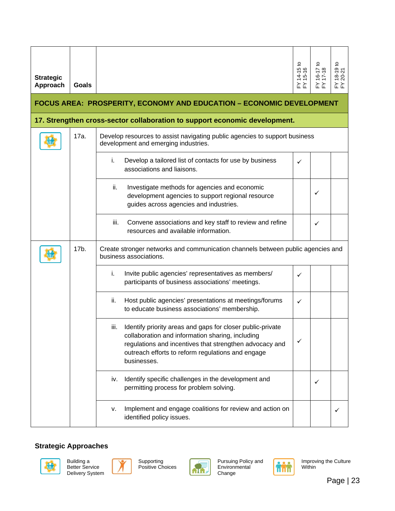| <b>Strategic</b><br>Approach                                                | <b>Goals</b> |                                                                                                                                                                                                                                                       | $14-15$ to<br>15-16<br>≿∑ | $-91$<br>≿≿ | $18-19$ to<br>20-21<br>≿ ≿ |  |  |  |  |
|-----------------------------------------------------------------------------|--------------|-------------------------------------------------------------------------------------------------------------------------------------------------------------------------------------------------------------------------------------------------------|---------------------------|-------------|----------------------------|--|--|--|--|
| <b>FOCUS AREA: PROSPERITY, ECONOMY AND EDUCATION - ECONOMIC DEVELOPMENT</b> |              |                                                                                                                                                                                                                                                       |                           |             |                            |  |  |  |  |
|                                                                             |              | 17. Strengthen cross-sector collaboration to support economic development.                                                                                                                                                                            |                           |             |                            |  |  |  |  |
|                                                                             | 17a.         | Develop resources to assist navigating public agencies to support business<br>development and emerging industries.                                                                                                                                    |                           |             |                            |  |  |  |  |
|                                                                             |              | Develop a tailored list of contacts for use by business<br>i.<br>associations and liaisons.                                                                                                                                                           | ✓                         |             |                            |  |  |  |  |
|                                                                             |              | Investigate methods for agencies and economic<br>ii.<br>development agencies to support regional resource<br>guides across agencies and industries.                                                                                                   |                           | ✓           |                            |  |  |  |  |
|                                                                             |              | Convene associations and key staff to review and refine<br>iii.<br>resources and available information.                                                                                                                                               |                           | ✓           |                            |  |  |  |  |
|                                                                             | 17b.         | Create stronger networks and communication channels between public agencies and<br>business associations.                                                                                                                                             |                           |             |                            |  |  |  |  |
|                                                                             |              | Invite public agencies' representatives as members/<br>i.<br>participants of business associations' meetings.                                                                                                                                         | ✓                         |             |                            |  |  |  |  |
|                                                                             |              | Host public agencies' presentations at meetings/forums<br>ii.<br>to educate business associations' membership.                                                                                                                                        | ✓                         |             |                            |  |  |  |  |
|                                                                             |              | Identify priority areas and gaps for closer public-private<br>iii.<br>collaboration and information sharing, including<br>regulations and incentives that strengthen advocacy and<br>outreach efforts to reform regulations and engage<br>businesses. |                           |             |                            |  |  |  |  |
|                                                                             |              | Identify specific challenges in the development and<br>İV.<br>permitting process for problem solving.                                                                                                                                                 |                           | ✓           |                            |  |  |  |  |
|                                                                             |              | Implement and engage coalitions for review and action on<br>۷.<br>identified policy issues.                                                                                                                                                           |                           |             | ✓                          |  |  |  |  |







Supporting Positive Choices



Pursuing Policy and Environmental Change

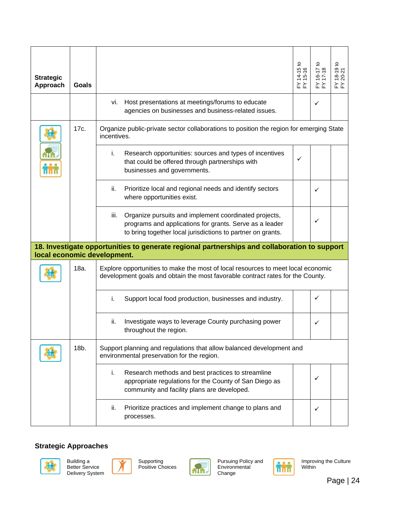| <b>Strategic</b><br>Approach | Goals |                                                                                                                                                                                         | $14-15$ to<br>15-16<br>≿ ≿ | ₽<br>$16-17$<br>17-18<br>≿ ≿ | $18-19$ to<br>$20-21$<br>≿ ≿ |
|------------------------------|-------|-----------------------------------------------------------------------------------------------------------------------------------------------------------------------------------------|----------------------------|------------------------------|------------------------------|
|                              |       | Host presentations at meetings/forums to educate<br>Vİ.<br>agencies on businesses and business-related issues.                                                                          |                            | ✓                            |                              |
|                              | 17c.  | Organize public-private sector collaborations to position the region for emerging State<br>incentives.                                                                                  |                            |                              |                              |
|                              |       | Research opportunities: sources and types of incentives<br>i.<br>that could be offered through partnerships with<br>businesses and governments.                                         | ✓                          |                              |                              |
|                              |       | ii.<br>Prioritize local and regional needs and identify sectors<br>where opportunities exist.                                                                                           |                            | ✓                            |                              |
|                              |       | Organize pursuits and implement coordinated projects,<br>iii.<br>programs and applications for grants. Serve as a leader<br>to bring together local jurisdictions to partner on grants. |                            | ✓                            |                              |
|                              |       | 18. Investigate opportunities to generate regional partnerships and collaboration to support<br>local economic development.                                                             |                            |                              |                              |
|                              | 18a.  | Explore opportunities to make the most of local resources to meet local economic<br>development goals and obtain the most favorable contract rates for the County.                      |                            |                              |                              |
|                              |       | Support local food production, businesses and industry.<br>i.                                                                                                                           |                            | ✓                            |                              |
|                              |       | ii.<br>Investigate ways to leverage County purchasing power<br>throughout the region.                                                                                                   |                            | ✓                            |                              |
|                              | 18b.  | Support planning and regulations that allow balanced development and<br>environmental preservation for the region.                                                                      |                            |                              |                              |
|                              |       | Research methods and best practices to streamline<br>i.<br>appropriate regulations for the County of San Diego as<br>community and facility plans are developed.                        |                            | ✓                            |                              |
|                              |       | Prioritize practices and implement change to plans and<br>ii.<br>processes.                                                                                                             |                            | ✓                            |                              |







Supporting Positive Choices



Pursuing Policy and Environmental Change

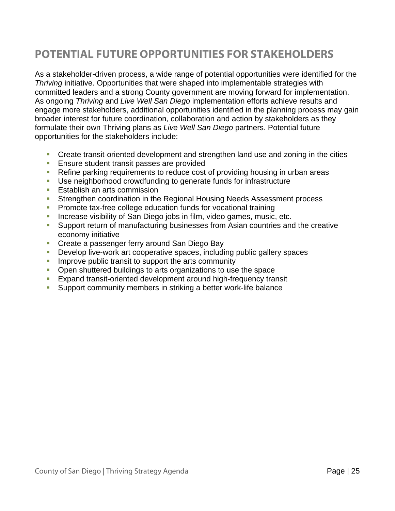# **POTENTIAL FUTURE OPPORTUNITIES FOR STAKEHOLDERS**

As a stakeholder-driven process, a wide range of potential opportunities were identified for the *Thriving* initiative. Opportunities that were shaped into implementable strategies with committed leaders and a strong County government are moving forward for implementation. As ongoing *Thriving* and *Live Well San Diego* implementation efforts achieve results and engage more stakeholders, additional opportunities identified in the planning process may gain broader interest for future coordination, collaboration and action by stakeholders as they formulate their own Thriving plans as *Live Well San Diego* partners. Potential future opportunities for the stakeholders include:

- **Create transit-oriented development and strengthen land use and zoning in the cities**
- **Ensure student transit passes are provided**
- Refine parking requirements to reduce cost of providing housing in urban areas
- Use neighborhood crowdfunding to generate funds for infrastructure
- **Establish an arts commission**
- **Strengthen coordination in the Regional Housing Needs Assessment process**
- **Promote tax-free college education funds for vocational training**
- **Increase visibility of San Diego jobs in film, video games, music, etc.**
- Support return of manufacturing businesses from Asian countries and the creative economy initiative
- **Create a passenger ferry around San Diego Bay**
- Develop live-work art cooperative spaces, including public gallery spaces
- Improve public transit to support the arts community
- Open shuttered buildings to arts organizations to use the space
- Expand transit-oriented development around high-frequency transit
- Support community members in striking a better work-life balance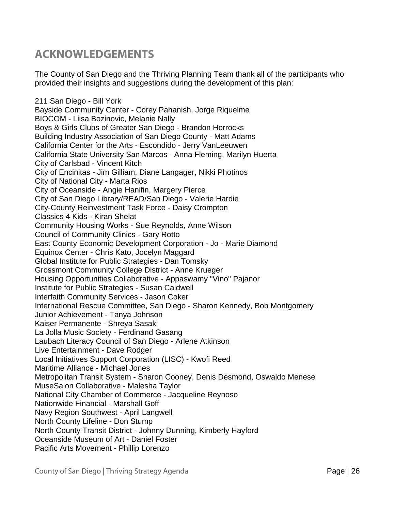## **ACKNOWLEDGEMENTS**

The County of San Diego and the Thriving Planning Team thank all of the participants who provided their insights and suggestions during the development of this plan:

211 San Diego - Bill York Bayside Community Center - Corey Pahanish, Jorge Riquelme BIOCOM - Liisa Bozinovic, Melanie Nally Boys & Girls Clubs of Greater San Diego - Brandon Horrocks Building Industry Association of San Diego County - Matt Adams California Center for the Arts - Escondido - Jerry VanLeeuwen California State University San Marcos - Anna Fleming, Marilyn Huerta City of Carlsbad - Vincent Kitch City of Encinitas - Jim Gilliam, Diane Langager, Nikki Photinos City of National City - Marta Rios City of Oceanside - Angie Hanifin, Margery Pierce City of San Diego Library/READ/San Diego - Valerie Hardie City-County Reinvestment Task Force - Daisy Crompton Classics 4 Kids - Kiran Shelat Community Housing Works - Sue Reynolds, Anne Wilson Council of Community Clinics - Gary Rotto East County Economic Development Corporation - Jo - Marie Diamond Equinox Center - Chris Kato, Jocelyn Maggard Global Institute for Public Strategies - Dan Tomsky Grossmont Community College District - Anne Krueger Housing Opportunities Collaborative - Appaswamy "Vino" Pajanor Institute for Public Strategies - Susan Caldwell Interfaith Community Services - Jason Coker International Rescue Committee, San Diego - Sharon Kennedy, Bob Montgomery Junior Achievement - Tanya Johnson Kaiser Permanente - Shreya Sasaki La Jolla Music Society - Ferdinand Gasang Laubach Literacy Council of San Diego - Arlene Atkinson Live Entertainment - Dave Rodger Local Initiatives Support Corporation (LISC) - Kwofi Reed Maritime Alliance - Michael Jones Metropolitan Transit System - Sharon Cooney, Denis Desmond, Oswaldo Menese MuseSalon Collaborative - Malesha Taylor National City Chamber of Commerce - Jacqueline Reynoso Nationwide Financial - Marshall Goff Navy Region Southwest - April Langwell North County Lifeline - Don Stump North County Transit District - Johnny Dunning, Kimberly Hayford Oceanside Museum of Art - Daniel Foster Pacific Arts Movement - Phillip Lorenzo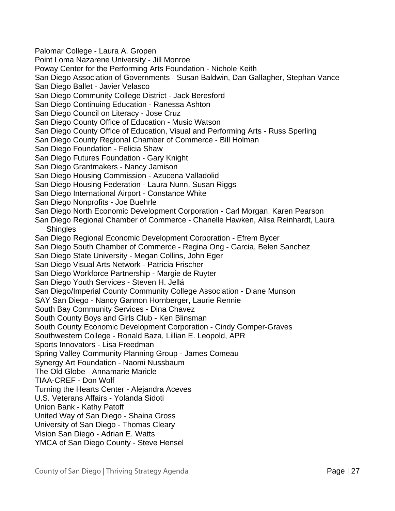Palomar College - Laura A. Gropen Point Loma Nazarene University - Jill Monroe Poway Center for the Performing Arts Foundation - Nichole Keith San Diego Association of Governments - Susan Baldwin, Dan Gallagher, Stephan Vance San Diego Ballet - Javier Velasco San Diego Community College District - Jack Beresford San Diego Continuing Education - Ranessa Ashton San Diego Council on Literacy - Jose Cruz San Diego County Office of Education - Music Watson San Diego County Office of Education, Visual and Performing Arts - Russ Sperling San Diego County Regional Chamber of Commerce - Bill Holman San Diego Foundation - Felicia Shaw San Diego Futures Foundation - Gary Knight San Diego Grantmakers - Nancy Jamison San Diego Housing Commission - Azucena Valladolid San Diego Housing Federation - Laura Nunn, Susan Riggs San Diego International Airport - Constance White San Diego Nonprofits - Joe Buehrle San Diego North Economic Development Corporation - Carl Morgan, Karen Pearson San Diego Regional Chamber of Commerce - Chanelle Hawken, Alisa Reinhardt, Laura **Shingles** San Diego Regional Economic Development Corporation - Efrem Bycer San Diego South Chamber of Commerce - Regina Ong - Garcia, Belen Sanchez San Diego State University - Megan Collins, John Eger San Diego Visual Arts Network - Patricia Frischer San Diego Workforce Partnership - Margie de Ruyter San Diego Youth Services - Steven H. Jellá San Diego/Imperial County Community College Association - Diane Munson SAY San Diego - Nancy Gannon Hornberger, Laurie Rennie South Bay Community Services - Dina Chavez South County Boys and Girls Club - Ken Blinsman South County Economic Development Corporation - Cindy Gomper-Graves Southwestern College - Ronald Baza, Lillian E. Leopold, APR Sports Innovators - Lisa Freedman Spring Valley Community Planning Group - James Comeau Synergy Art Foundation - Naomi Nussbaum The Old Globe - Annamarie Maricle TIAA-CREF - Don Wolf Turning the Hearts Center - Alejandra Aceves U.S. Veterans Affairs - Yolanda Sidoti Union Bank - Kathy Patoff United Way of San Diego - Shaina Gross University of San Diego - Thomas Cleary Vision San Diego - Adrian E. Watts YMCA of San Diego County - Steve Hensel